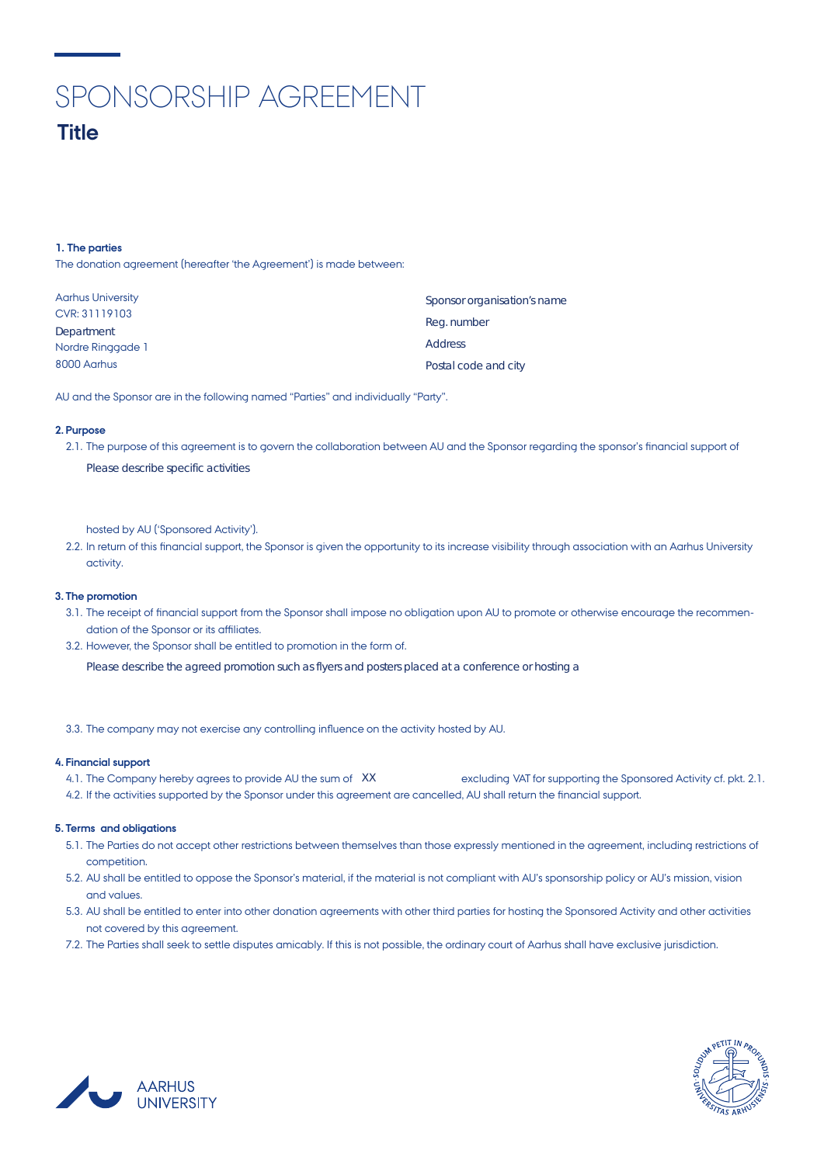# SPONSORSHIP AGREEMENT

# **1. The parties**

| <b>Title</b>                                                                          |                                            |
|---------------------------------------------------------------------------------------|--------------------------------------------|
|                                                                                       |                                            |
| 1. The parties<br>The donation agreement (hereafter 'the Agreement') is made between: |                                            |
|                                                                                       |                                            |
| <b>Aarhus University</b><br>CVR: 31119103<br>Department                               | Sponsor organisation's name<br>Reg. number |
| Nordre Ringgade 1<br>8000 Aarhus                                                      | <b>Address</b><br>Postal code and city     |

AU and the Sponsor are in the following named "Parties" and individually "Party".

# **2. Purpose**

2.1. The purpose of this agreement is to govern the collaboration between AU and the Sponsor regarding the sponsor's financial support of Please describe specific activities

hosted by AU ('Sponsored Activity').

2.2. In return of this financial support, the Sponsor is given the opportunity to its increase visibility through association with an Aarhus University activity.

# **3. The promotion**

- 3.1. The receipt of financial support from the Sponsor shall impose no obligation upon AU to promote or otherwise encourage the recommen- dation of the Sponsor or its affiliates.
- 3.2. However, the Sponsor shall be entitled to promotion in the form of.

Please describe the agreed promotion such as flyers and posters placed at a conference or hosting a

3.3. The company may not exercise any controlling influence on the activity hosted by AU.

### **4. Financial support**

- 4.1. The Company hereby agrees to provide AU the sum of XX excluding VAT for supporting the Sponsored Activity cf. pkt. 2.1.
- 4.2. If the activities supported by the Sponsor under this agreement are cancelled, AU shall return the financial support.

#### **5. Terms and obligations**

- 5.1. The Parties do not accept other restrictions between themselves than those expressly mentioned in the agreement, including restrictions of competition.
- 5.2. AU shall be entitled to oppose the Sponsor's material, if the material is not compliant with AU's sponsorship policy or AU's mission, vision and values.
- 5.3. AU shall be entitled to enter into other donation agreements with other third parties for hosting the Sponsored Activity and other activities not covered by this agreement.
- 7.2. The Parties shall seek to settle disputes amicably. If this is not possible, the ordinary court of Aarhus shall have exclusive jurisdiction.